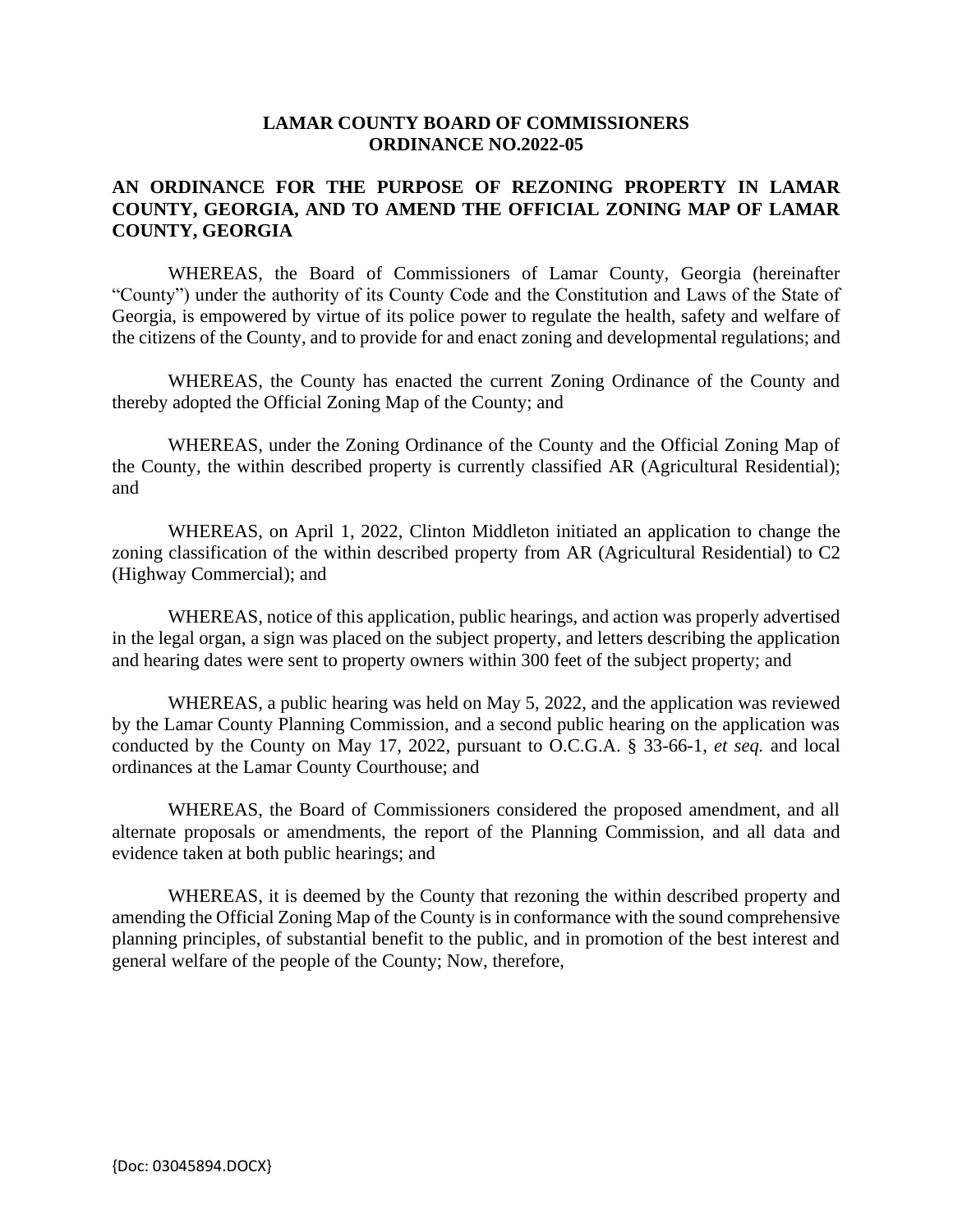## **LAMAR COUNTY BOARD OF COMMISSIONERS ORDINANCE NO.2022-05**

## **AN ORDINANCE FOR THE PURPOSE OF REZONING PROPERTY IN LAMAR COUNTY, GEORGIA, AND TO AMEND THE OFFICIAL ZONING MAP OF LAMAR COUNTY, GEORGIA**

WHEREAS, the Board of Commissioners of Lamar County, Georgia (hereinafter "County") under the authority of its County Code and the Constitution and Laws of the State of Georgia, is empowered by virtue of its police power to regulate the health, safety and welfare of the citizens of the County, and to provide for and enact zoning and developmental regulations; and

WHEREAS, the County has enacted the current Zoning Ordinance of the County and thereby adopted the Official Zoning Map of the County; and

WHEREAS, under the Zoning Ordinance of the County and the Official Zoning Map of the County, the within described property is currently classified AR (Agricultural Residential); and

WHEREAS, on April 1, 2022, Clinton Middleton initiated an application to change the zoning classification of the within described property from AR (Agricultural Residential) to C2 (Highway Commercial); and

WHEREAS, notice of this application, public hearings, and action was properly advertised in the legal organ, a sign was placed on the subject property, and letters describing the application and hearing dates were sent to property owners within 300 feet of the subject property; and

WHEREAS, a public hearing was held on May 5, 2022, and the application was reviewed by the Lamar County Planning Commission, and a second public hearing on the application was conducted by the County on May 17, 2022, pursuant to O.C.G.A. § 33-66-1, *et seq.* and local ordinances at the Lamar County Courthouse; and

WHEREAS, the Board of Commissioners considered the proposed amendment, and all alternate proposals or amendments, the report of the Planning Commission, and all data and evidence taken at both public hearings; and

WHEREAS, it is deemed by the County that rezoning the within described property and amending the Official Zoning Map of the County is in conformance with the sound comprehensive planning principles, of substantial benefit to the public, and in promotion of the best interest and general welfare of the people of the County; Now, therefore,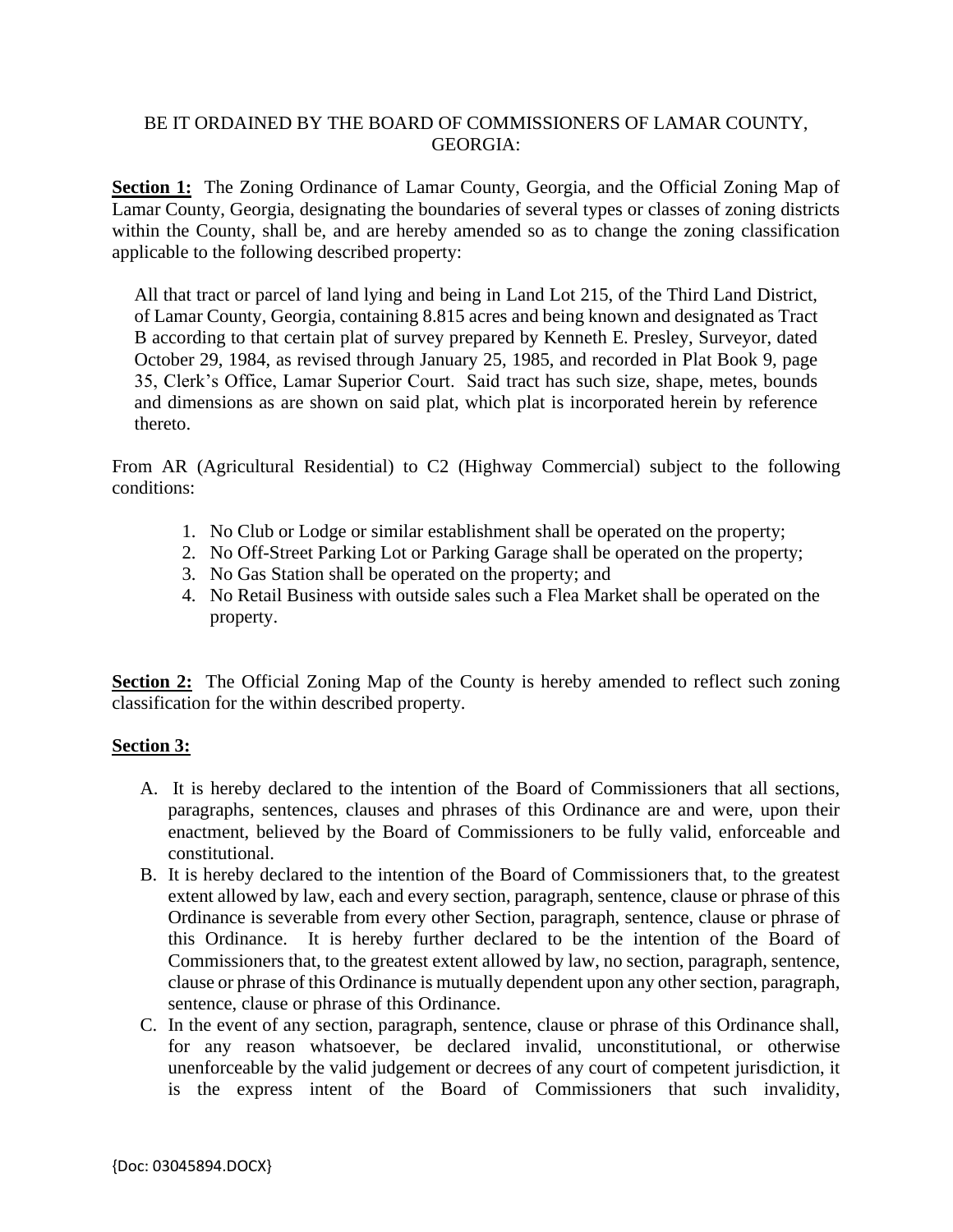## BE IT ORDAINED BY THE BOARD OF COMMISSIONERS OF LAMAR COUNTY, GEORGIA:

Section 1: The Zoning Ordinance of Lamar County, Georgia, and the Official Zoning Map of Lamar County, Georgia, designating the boundaries of several types or classes of zoning districts within the County, shall be, and are hereby amended so as to change the zoning classification applicable to the following described property:

All that tract or parcel of land lying and being in Land Lot 215, of the Third Land District, of Lamar County, Georgia, containing 8.815 acres and being known and designated as Tract B according to that certain plat of survey prepared by Kenneth E. Presley, Surveyor, dated October 29, 1984, as revised through January 25, 1985, and recorded in Plat Book 9, page 35, Clerk's Office, Lamar Superior Court. Said tract has such size, shape, metes, bounds and dimensions as are shown on said plat, which plat is incorporated herein by reference thereto.

From AR (Agricultural Residential) to C2 (Highway Commercial) subject to the following conditions:

- 1. No Club or Lodge or similar establishment shall be operated on the property;
- 2. No Off-Street Parking Lot or Parking Garage shall be operated on the property;
- 3. No Gas Station shall be operated on the property; and
- 4. No Retail Business with outside sales such a Flea Market shall be operated on the property.

**Section 2:** The Official Zoning Map of the County is hereby amended to reflect such zoning classification for the within described property.

## **Section 3:**

- A. It is hereby declared to the intention of the Board of Commissioners that all sections, paragraphs, sentences, clauses and phrases of this Ordinance are and were, upon their enactment, believed by the Board of Commissioners to be fully valid, enforceable and constitutional.
- B. It is hereby declared to the intention of the Board of Commissioners that, to the greatest extent allowed by law, each and every section, paragraph, sentence, clause or phrase of this Ordinance is severable from every other Section, paragraph, sentence, clause or phrase of this Ordinance. It is hereby further declared to be the intention of the Board of Commissioners that, to the greatest extent allowed by law, no section, paragraph, sentence, clause or phrase of this Ordinance is mutually dependent upon any other section, paragraph, sentence, clause or phrase of this Ordinance.
- C. In the event of any section, paragraph, sentence, clause or phrase of this Ordinance shall, for any reason whatsoever, be declared invalid, unconstitutional, or otherwise unenforceable by the valid judgement or decrees of any court of competent jurisdiction, it is the express intent of the Board of Commissioners that such invalidity,